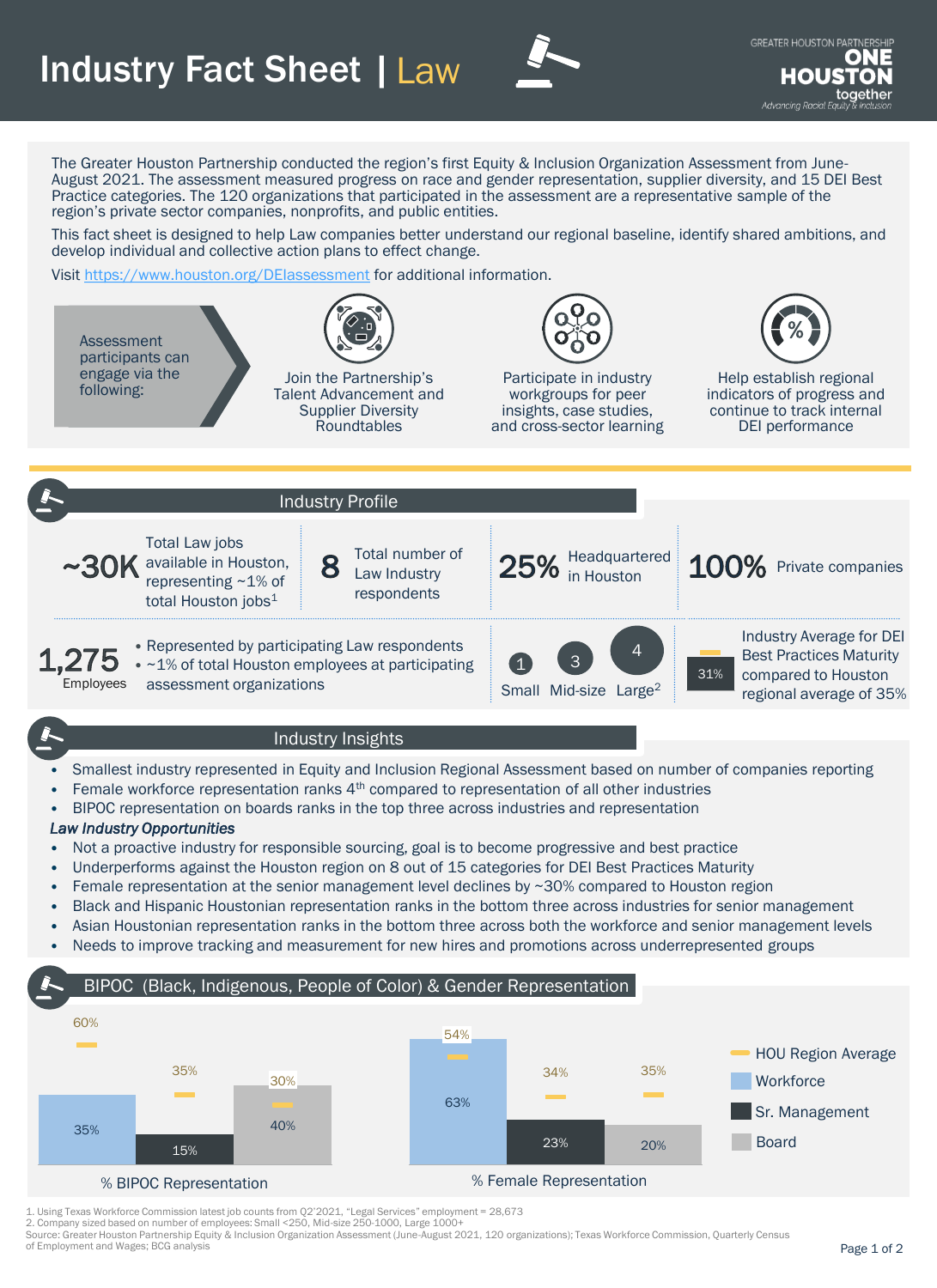## **Industry Fact Sheet | Law**



The Greater Houston Partnership conducted the region's first Equity & Inclusion Organization Assessment from June-August 2021. The assessment measured progress on race and gender representation, supplier diversity, and 15 DEI Best Practice categories. The 120 organizations that participated in the assessment are a representative sample of the region's private sector companies, nonprofits, and public entities.

This fact sheet is designed to help Law companies better understand our regional baseline, identify shared ambitions, and develop individual and collective action plans to effect change.

Visit <https://www.houston.org/DEIassessment> for additional information.



• BIPOC representation on boards ranks in the top three across industries and representation

## *Law Industry Opportunities*

- Not a proactive industry for responsible sourcing, goal is to become progressive and best practice
- Underperforms against the Houston region on 8 out of 15 categories for DEI Best Practices Maturity
- Female representation at the senior management level declines by ~30% compared to Houston region
- Black and Hispanic Houstonian representation ranks in the bottom three across industries for senior management
- Asian Houstonian representation ranks in the bottom three across both the workforce and senior management levels
- Needs to improve tracking and measurement for new hires and promotions across underrepresented groups

## BIPOC (Black, Indigenous, People of Color) & Gender Representation



1. Using Texas Workforce Commission latest job counts from Q2'2021, "Legal Services" employment = 28,673

2. Company sized based on number of employees: Small <250, Mid-size 250-1000, Large 1000+

Source: Greater Houston Partnership Equity & Inclusion Organization Assessment (June-August 2021, 120 organizations); Texas Workforce Commission, Quarterly Census of Employment and Wages; BCG analysis